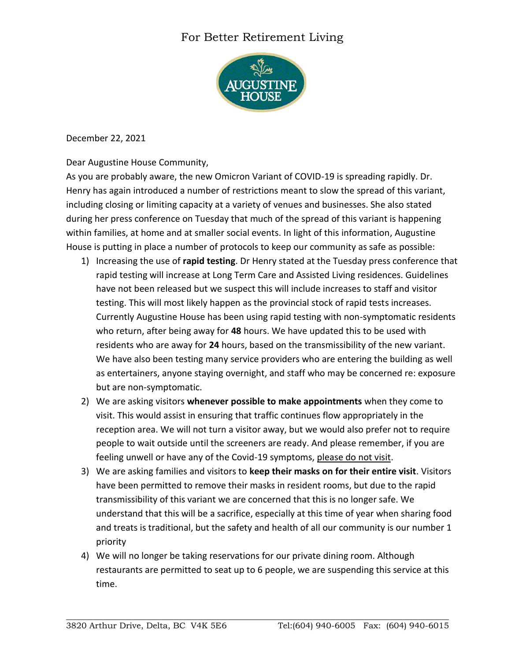## For Better Retirement Living



December 22, 2021

Dear Augustine House Community,

As you are probably aware, the new Omicron Variant of COVID-19 is spreading rapidly. Dr. Henry has again introduced a number of restrictions meant to slow the spread of this variant, including closing or limiting capacity at a variety of venues and businesses. She also stated during her press conference on Tuesday that much of the spread of this variant is happening within families, at home and at smaller social events. In light of this information, Augustine House is putting in place a number of protocols to keep our community as safe as possible:

- 1) Increasing the use of **rapid testing**. Dr Henry stated at the Tuesday press conference that rapid testing will increase at Long Term Care and Assisted Living residences. Guidelines have not been released but we suspect this will include increases to staff and visitor testing. This will most likely happen as the provincial stock of rapid tests increases. Currently Augustine House has been using rapid testing with non-symptomatic residents who return, after being away for **48** hours. We have updated this to be used with residents who are away for **24** hours, based on the transmissibility of the new variant. We have also been testing many service providers who are entering the building as well as entertainers, anyone staying overnight, and staff who may be concerned re: exposure but are non-symptomatic.
- 2) We are asking visitors **whenever possible to make appointments** when they come to visit. This would assist in ensuring that traffic continues flow appropriately in the reception area. We will not turn a visitor away, but we would also prefer not to require people to wait outside until the screeners are ready. And please remember, if you are feeling unwell or have any of the Covid-19 symptoms, please do not visit.
- 3) We are asking families and visitors to **keep their masks on for their entire visit**. Visitors have been permitted to remove their masks in resident rooms, but due to the rapid transmissibility of this variant we are concerned that this is no longer safe. We understand that this will be a sacrifice, especially at this time of year when sharing food and treats is traditional, but the safety and health of all our community is our number 1 priority
- 4) We will no longer be taking reservations for our private dining room. Although restaurants are permitted to seat up to 6 people, we are suspending this service at this time.